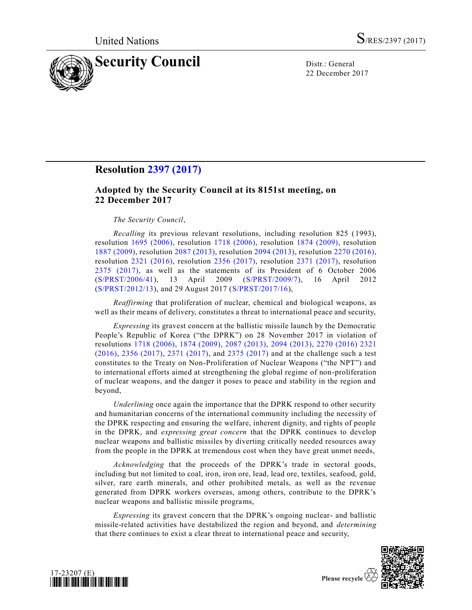

22 December 2017

# **Resolution [2397 \(2017\)](https://undocs.org/S/RES/2397(2017))**

# **Adopted by the Security Council at its 8151st meeting, on 22 December 2017**

### *The Security Council*,

*Recalling* its previous relevant resolutions, including resolution 825 (1993), resolution [1695 \(2006\),](https://undocs.org/S/RES/1695(2006)) resolution [1718 \(2006\),](https://undocs.org/S/RES/1718(2006)) resolution [1874 \(2009\),](https://undocs.org/S/RES/1874(2009)) resolution [1887 \(2009\),](https://undocs.org/S/RES/1887(2009)) resolution [2087 \(2013\),](https://undocs.org/S/RES/2087(2013)) resolution [2094 \(2013\),](https://undocs.org/S/RES/2094(2013)) resolution [2270 \(2016\),](https://undocs.org/S/RES/2270(2016)) resolution [2321 \(2016\),](https://undocs.org/S/RES/2321(2016)) resolution [2356 \(2017\),](https://undocs.org/S/RES/2356(2017)) resolution [2371 \(2017\),](https://undocs.org/S/RES/2371(2017)) resolution [2375 \(2017\),](https://undocs.org/S/RES/2375(2017)) as well as the statements of its President of 6 October 2006 [\(S/PRST/2006/41\)](https://undocs.org/S/PRST/2006/41), 13 April 2009 [\(S/PRST/2009/7\)](https://undocs.org/S/PRST/2009/7), 16 April 2012 [\(S/PRST/2012/13\)](https://undocs.org/S/PRST/2012/13), and 29 August 2017 [\(S/PRST/2017/16\)](https://undocs.org/S/PRST/2017/16),

*Reaffirming* that proliferation of nuclear, chemical and biological weapons, as well as their means of delivery, constitutes a threat to international peace and security,

*Expressing* its gravest concern at the ballistic missile launch by the Democratic People's Republic of Korea ("the DPRK") on 28 November 2017 in violation of resolutions [1718 \(2006\),](https://undocs.org/S/RES/1718(2006)) [1874 \(2009\),](https://undocs.org/S/RES/1874(2009)) [2087 \(2013\),](https://undocs.org/S/RES/2087(2013)) [2094 \(2013\),](https://undocs.org/S/RES/2094(2013)) [2270 \(2016\)](https://undocs.org/S/RES/2270(2016)) [2321](https://undocs.org/S/RES/2321(2016))  [\(2016\),](https://undocs.org/S/RES/2321(2016)) [2356 \(2017\),](https://undocs.org/S/RES/2356(2017)) [2371 \(2017\),](https://undocs.org/S/RES/2371(2017)) and [2375 \(2017\)](https://undocs.org/S/RES/2375(2017)) and at the challenge such a test constitutes to the Treaty on Non-Proliferation of Nuclear Weapons ("the NPT") and to international efforts aimed at strengthening the global regime of non-proliferation of nuclear weapons, and the danger it poses to peace and stability in the region and beyond,

*Underlining* once again the importance that the DPRK respond to other security and humanitarian concerns of the international community including the necessity of the DPRK respecting and ensuring the welfare, inherent dignity, and rights of people in the DPRK, and *expressing great concern* that the DPRK continues to develop nuclear weapons and ballistic missiles by diverting critically needed resources away from the people in the DPRK at tremendous cost when they have great unmet needs,

*Acknowledging* that the proceeds of the DPRK's trade in sectoral goods, including but not limited to coal, iron, iron ore, lead, lead ore, textiles, seafood, gold, silver, rare earth minerals, and other prohibited metals, as well as the revenue generated from DPRK workers overseas, among others, contribute to the DPRK's nuclear weapons and ballistic missile programs,

*Expressing* its gravest concern that the DPRK's ongoing nuclear- and ballistic missile-related activities have destabilized the region and beyond, and *determining* that there continues to exist a clear threat to international peace and security,



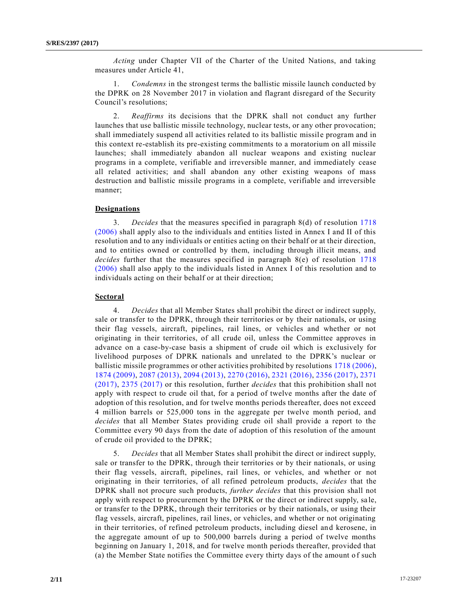*Acting* under Chapter VII of the Charter of the United Nations, and taking measures under Article 41,

1. *Condemns* in the strongest terms the ballistic missile launch conducted by the DPRK on 28 November 2017 in violation and flagrant disregard of the Security Council's resolutions;

2. *Reaffirms* its decisions that the DPRK shall not conduct any further launches that use ballistic missile technology, nuclear tests, or any other provocation; shall immediately suspend all activities related to its ballistic missile program and in this context re-establish its pre-existing commitments to a moratorium on all missile launches; shall immediately abandon all nuclear weapons and existing nuclear programs in a complete, verifiable and irreversible manner, and immediately cease all related activities; and shall abandon any other existing weapons of mass destruction and ballistic missile programs in a complete, verifiable and irreversible manner;

### **Designations**

3. *Decides* that the measures specified in paragraph 8(d) of resolution [1718](https://undocs.org/S/RES/1718(2006))  [\(2006\)](https://undocs.org/S/RES/1718(2006)) shall apply also to the individuals and entities listed in Annex I and II of this resolution and to any individuals or entities acting on their behalf or at their direction, and to entities owned or controlled by them, including through illicit means, and *decides* further that the measures specified in paragraph 8(e) of resolution [1718](https://undocs.org/S/RES/1718(2006))  [\(2006\)](https://undocs.org/S/RES/1718(2006)) shall also apply to the individuals listed in Annex I of this resolution and to individuals acting on their behalf or at their direction;

# **Sectoral**

4. *Decides* that all Member States shall prohibit the direct or indirect supply, sale or transfer to the DPRK, through their territories or by their nationals, or using their flag vessels, aircraft, pipelines, rail lines, or vehicles and whether or not originating in their territories, of all crude oil, unless the Committee approves in advance on a case-by-case basis a shipment of crude oil which is exclusively for livelihood purposes of DPRK nationals and unrelated to the DPRK's nuclear or ballistic missile programmes or other activities prohibited by resolutions [1718 \(2006\),](https://undocs.org/S/RES/1718(2006)) [1874 \(2009\),](https://undocs.org/S/RES/1874(2009)) [2087 \(2013\),](https://undocs.org/S/RES/2087(2013)) [2094 \(2013\),](https://undocs.org/S/RES/2094(2013)) [2270 \(2016\),](https://undocs.org/S/RES/2270(2016)) [2321 \(2016\),](https://undocs.org/S/RES/2321(2016)) [2356 \(2017\),](https://undocs.org/S/RES/2356(2017)) [2371](https://undocs.org/S/RES/2371(2017))  [\(2017\),](https://undocs.org/S/RES/2371(2017)) [2375 \(2017\)](https://undocs.org/S/RES/2375(2017)) or this resolution, further *decides* that this prohibition shall not apply with respect to crude oil that, for a period of twelve months after the date of adoption of this resolution, and for twelve months periods thereafter, does not exceed 4 million barrels or 525,000 tons in the aggregate per twelve month period, and *decides* that all Member States providing crude oil shall provide a report to the Committee every 90 days from the date of adoption of this resolution of the amount of crude oil provided to the DPRK;

5. *Decides* that all Member States shall prohibit the direct or indirect supply, sale or transfer to the DPRK, through their territories or by their nationals, or using their flag vessels, aircraft, pipelines, rail lines, or vehicles, and whether or not originating in their territories, of all refined petroleum products, *decides* that the DPRK shall not procure such products, *further decides* that this provision shall not apply with respect to procurement by the DPRK or the direct or indirect supply, sa le, or transfer to the DPRK, through their territories or by their nationals, or using their flag vessels, aircraft, pipelines, rail lines, or vehicles, and whether or not originating in their territories, of refined petroleum products, including diesel and kerosene, in the aggregate amount of up to 500,000 barrels during a period of twelve months beginning on January 1, 2018, and for twelve month periods thereafter, provided that (a) the Member State notifies the Committee every thirty days of the amount o f such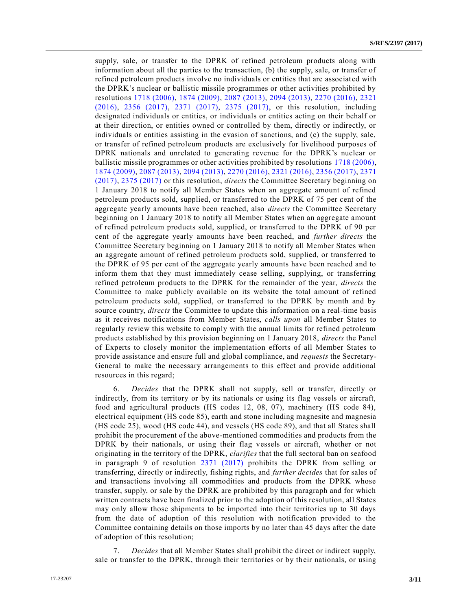supply, sale, or transfer to the DPRK of refined petroleum products along with information about all the parties to the transaction, (b) the supply, sale, or transfer of refined petroleum products involve no individuals or entities that are associat ed with the DPRK's nuclear or ballistic missile programmes or other activities prohibited by resolutions [1718 \(2006\),](https://undocs.org/S/RES/1718(2006)) [1874 \(2009\),](https://undocs.org/S/RES/1874(2009)) [2087 \(2013\),](https://undocs.org/S/RES/2087(2013)) [2094 \(2013\),](https://undocs.org/S/RES/2094(2013)) [2270 \(2016\),](https://undocs.org/S/RES/2270(2016)) [2321](https://undocs.org/S/RES/2321(2016))  [\(2016\),](https://undocs.org/S/RES/2321(2016)) [2356 \(2017\),](https://undocs.org/S/RES/2356(2017)) [2371 \(2017\),](https://undocs.org/S/RES/2371(2017)) [2375 \(2017\),](https://undocs.org/S/RES/2375(2017)) or this resolution, including designated individuals or entities, or individuals or entities acting on their behalf or at their direction, or entities owned or controlled by them, directly or indirectly, or individuals or entities assisting in the evasion of sanctions, and (c) the supply, sale, or transfer of refined petroleum products are exclusively for livelihood purposes of DPRK nationals and unrelated to generating revenue for the DPRK's nuclear or ballistic missile programmes or other activities prohibited by resolutions [1718 \(2006\),](https://undocs.org/S/RES/1718(2006)) [1874 \(2009\),](https://undocs.org/S/RES/1874(2009)) [2087 \(2013\),](https://undocs.org/S/RES/2087(2013)) [2094 \(2013\),](https://undocs.org/S/RES/2094(2013)) [2270 \(2016\),](https://undocs.org/S/RES/2270(2016)) [2321 \(2016\),](https://undocs.org/S/RES/2321(2016)) [2356 \(2017\),](https://undocs.org/S/RES/2356(2017)) [2371](https://undocs.org/S/RES/2371(2017))  [\(2017\),](https://undocs.org/S/RES/2371(2017)) [2375 \(2017\)](https://undocs.org/S/RES/2375(2017)) or this resolution, *directs* the Committee Secretary beginning on 1 January 2018 to notify all Member States when an aggregate amount of refined petroleum products sold, supplied, or transferred to the DPRK of 75 per cent of the aggregate yearly amounts have been reached, also *directs* the Committee Secretary beginning on 1 January 2018 to notify all Member States when an aggregate amount of refined petroleum products sold, supplied, or transferred to the DPRK of 90 per cent of the aggregate yearly amounts have been reached, and *further directs* the Committee Secretary beginning on 1 January 2018 to notify all Member States when an aggregate amount of refined petroleum products sold, supplied, or transferred to the DPRK of 95 per cent of the aggregate yearly amounts have been reached and to inform them that they must immediately cease selling, supplying, or transferring refined petroleum products to the DPRK for the remainder of the year, *directs* the Committee to make publicly available on its website the total amount of refined petroleum products sold, supplied, or transferred to the DPRK by month and by source country, *directs* the Committee to update this information on a real-time basis as it receives notifications from Member States, *calls upon* all Member States to regularly review this website to comply with the annual limits for refined petroleum products established by this provision beginning on 1 January 2018, *directs* the Panel of Experts to closely monitor the implementation efforts of all Member States to provide assistance and ensure full and global compliance, and *requests* the Secretary-General to make the necessary arrangements to this effect and provide additional resources in this regard;

6. *Decides* that the DPRK shall not supply, sell or transfer, directly or indirectly, from its territory or by its nationals or using its flag vessels or aircraft, food and agricultural products (HS codes 12, 08, 07), machinery (HS code 84), electrical equipment (HS code 85), earth and stone including magnesite and magnesia (HS code 25), wood (HS code 44), and vessels (HS code 89), and that all States shall prohibit the procurement of the above-mentioned commodities and products from the DPRK by their nationals, or using their flag vessels or aircraft, whether or not originating in the territory of the DPRK, *clarifies* that the full sectoral ban on seafood in paragraph 9 of resolution [2371 \(2017\)](https://undocs.org/S/RES/2371(2017)) prohibits the DPRK from selling or transferring, directly or indirectly, fishing rights, and *further decides* that for sales of and transactions involving all commodities and products from the DPRK whose transfer, supply, or sale by the DPRK are prohibited by this paragraph and for which written contracts have been finalized prior to the adoption of this resolution, all States may only allow those shipments to be imported into their territories up to 30 days from the date of adoption of this resolution with notification provided to the Committee containing details on those imports by no later than 45 days after the date of adoption of this resolution;

7. *Decides* that all Member States shall prohibit the direct or indirect supply, sale or transfer to the DPRK, through their territories or by their nationals, or using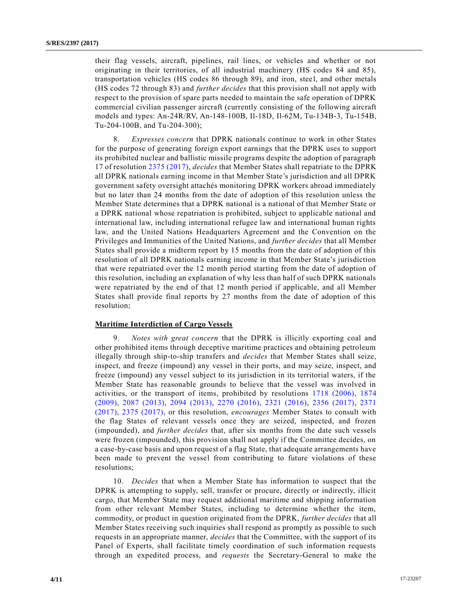their flag vessels, aircraft, pipelines, rail lines, or vehicles and whether or not originating in their territories, of all industrial machinery (HS codes 84 and 85), transportation vehicles (HS codes 86 through 89), and iron, stee l, and other metals (HS codes 72 through 83) and *further decides* that this provision shall not apply with respect to the provision of spare parts needed to maintain the safe operation of DPRK commercial civilian passenger aircraft (currently consisting of the following aircraft models and types: An-24R/RV, An-148-100B, Il-18D, Il-62M, Tu-134B-3, Tu-154B, Tu-204-100B, and Tu-204-300);

8. *Expresses concern* that DPRK nationals continue to work in other States for the purpose of generating foreign export earnings that the DPRK uses to support its prohibited nuclear and ballistic missile programs despite the adoption of paragraph 17 of resolutio[n 2375 \(2017\),](https://undocs.org/S/RES/2375(2017)) *decides* that Member States shall repatriate to the DPRK all DPRK nationals earning income in that Member State's jurisdiction and all DPRK government safety oversight attachés monitoring DPRK workers abroad immediately but no later than 24 months from the date of adoption of this resolution unless the Member State determines that a DPRK national is a national of that Member State or a DPRK national whose repatriation is prohibited, subject to applicable national and international law, including international refugee law and international human rights law, and the United Nations Headquarters Agreement and the Convention on the Privileges and Immunities of the United Nations, and *further decides* that all Member States shall provide a midterm report by 15 months from the date of adoption of this resolution of all DPRK nationals earning income in that Member State's jurisdiction that were repatriated over the 12 month period starting from the date of adoption of this resolution, including an explanation of why less than half of such DPRK nationals were repatriated by the end of that 12 month period if applicable, and all Member States shall provide final reports by 27 months from the date of adoption of this resolution;

#### **Maritime Interdiction of Cargo Vessels**

9. *Notes with great concern* that the DPRK is illicitly exporting coal and other prohibited items through deceptive maritime practices and obtaining petroleum illegally through ship-to-ship transfers and *decides* that Member States shall seize, inspect, and freeze (impound) any vessel in their ports, and may seize, inspect, and freeze (impound) any vessel subject to its jurisdiction in its territorial waters, if the Member State has reasonable grounds to believe that the vessel was involved in activities, or the transport of items, prohibited by resolutions [1718 \(2006\),](https://undocs.org/S/RES/1718(2006)) [1874](https://undocs.org/S/RES/1874(2009))  [\(2009\),](https://undocs.org/S/RES/1874(2009)) [2087 \(2013\),](https://undocs.org/S/RES/2087(2013)) [2094 \(2013\),](https://undocs.org/S/RES/2094(2013)) [2270 \(2016\),](https://undocs.org/S/RES/2270(2016)) [2321 \(2016\),](https://undocs.org/S/RES/2321(2016)) [2356 \(2017\),](https://undocs.org/S/RES/2356(2017)) [2371](https://undocs.org/S/RES/2371(2017))  [\(2017\),](https://undocs.org/S/RES/2371(2017)) [2375 \(2017\),](https://undocs.org/S/RES/2375(2017)) or this resolution, *encourages* Member States to consult with the flag States of relevant vessels once they are seized, inspected, and frozen (impounded), and *further decides* that, after six months from the date such vessels were frozen (impounded), this provision shall not apply if the Committee decides, on a case-by-case basis and upon request of a flag State, that adequate arrangements have been made to prevent the vessel from contributing to future violations of these resolutions;

10. *Decides* that when a Member State has information to suspect that the DPRK is attempting to supply, sell, transfer or procure, directly or indirectly, illicit cargo, that Member State may request additional maritime and shipping information from other relevant Member States, including to determine whether the item, commodity, or product in question originated from the DPRK, *further decides* that all Member States receiving such inquiries shall respond as promptly as possible to such requests in an appropriate manner, *decides* that the Committee, with the support of its Panel of Experts, shall facilitate timely coordination of such information requests through an expedited process, and *requests* the Secretary-General to make the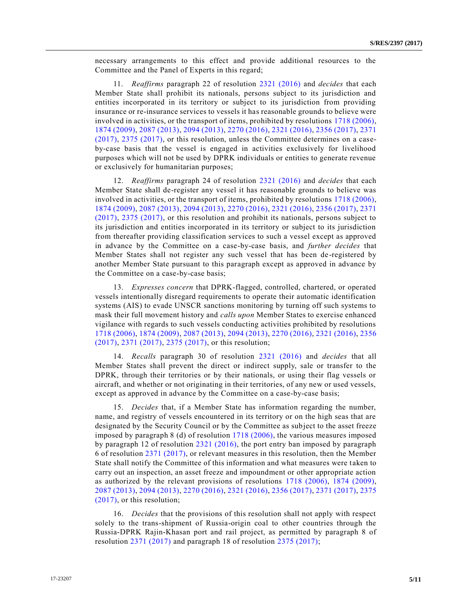necessary arrangements to this effect and provide additional resources to the Committee and the Panel of Experts in this regard;

11. *Reaffirms* paragraph 22 of resolution [2321 \(2016\)](https://undocs.org/S/RES/2321(2016)) and *decides* that each Member State shall prohibit its nationals, persons subject to its jurisdiction and entities incorporated in its territory or subject to its jurisdiction from providing insurance or re-insurance services to vessels it has reasonable grounds to believe were involved in activities, or the transport of items, prohibited by resolutions [1718 \(2006\),](https://undocs.org/S/RES/1718(2006)) [1874 \(2009\),](https://undocs.org/S/RES/1874(2009)) [2087 \(2013\),](https://undocs.org/S/RES/2087(2013)) [2094 \(2013\),](https://undocs.org/S/RES/2094(2013)) [2270 \(2016\),](https://undocs.org/S/RES/2270(2016)) [2321 \(2016\),](https://undocs.org/S/RES/2321(2016)) [2356 \(2017\),](https://undocs.org/S/RES/2356(2017)) [2371](https://undocs.org/S/RES/2371(2017))  [\(2017\),](https://undocs.org/S/RES/2371(2017)) [2375 \(2017\),](https://undocs.org/S/RES/2375(2017)) or this resolution, unless the Committee determines on a caseby-case basis that the vessel is engaged in activities exclusively for livelihood purposes which will not be used by DPRK individuals or entities to generate revenue or exclusively for humanitarian purposes;

12. *Reaffirms* paragraph 24 of resolution [2321 \(2016\)](https://undocs.org/S/RES/2321(2016)) and *decides* that each Member State shall de-register any vessel it has reasonable grounds to believe was involved in activities, or the transport of items, prohibited by resolutions [1718 \(2006\),](https://undocs.org/S/RES/1718(2006)) [1874 \(2009\),](https://undocs.org/S/RES/1874(2009)) [2087 \(2013\),](https://undocs.org/S/RES/2087(2013)) [2094 \(2013\),](https://undocs.org/S/RES/2094(2013)) [2270 \(2016\),](https://undocs.org/S/RES/2270(2016)) [2321 \(2016\),](https://undocs.org/S/RES/2321(2016)) [2356 \(2017\),](https://undocs.org/S/RES/2356(2017)) [2371](https://undocs.org/S/RES/2371(2017))  [\(2017\),](https://undocs.org/S/RES/2371(2017)) [2375 \(2017\),](https://undocs.org/S/RES/2375(2017)) or this resolution and prohibit its nationals, persons subject to its jurisdiction and entities incorporated in its territory or subject to its jurisdiction from thereafter providing classification services to such a vessel except as approved in advance by the Committee on a case-by-case basis, and *further decides* that Member States shall not register any such vessel that has been de-registered by another Member State pursuant to this paragraph except as approved in advance by the Committee on a case-by-case basis;

13. *Expresses concern* that DPRK-flagged, controlled, chartered, or operated vessels intentionally disregard requirements to operate their automatic identification systems (AIS) to evade UNSCR sanctions monitoring by turning off such systems to mask their full movement history and *calls upon* Member States to exercise enhanced vigilance with regards to such vessels conducting activities prohibited by resolutions [1718 \(2006\),](https://undocs.org/S/RES/1718(2006)) [1874 \(2009\),](https://undocs.org/S/RES/1874(2009)) [2087 \(2013\),](https://undocs.org/S/RES/2087(2013)) [2094 \(2013\),](https://undocs.org/S/RES/2094(2013)) [2270 \(2016\),](https://undocs.org/S/RES/2270(2016)) [2321 \(2016\),](https://undocs.org/S/RES/2321(2016)) [2356](https://undocs.org/S/RES/2356(2017))  [\(2017\),](https://undocs.org/S/RES/2356(2017)) [2371 \(2017\),](https://undocs.org/S/RES/2371(2017)) [2375 \(2017\),](https://undocs.org/S/RES/2375(2017)) or this resolution;

14. *Recalls* paragraph 30 of resolution [2321 \(2016\)](https://undocs.org/S/RES/2321(2016)) and *decides* that all Member States shall prevent the direct or indirect supply, sale or transfer to the DPRK, through their territories or by their nationals, or using their flag vessels or aircraft, and whether or not originating in their territories, of any new or used vessels, except as approved in advance by the Committee on a case-by-case basis;

15. *Decides* that, if a Member State has information regarding the number, name, and registry of vessels encountered in its territory or on the high seas that are designated by the Security Council or by the Committee as subject to the asset freeze imposed by paragraph 8 (d) of resolution [1718 \(2006\),](https://undocs.org/S/RES/1718(2006)) the various measures imposed by paragraph 12 of resolution [2321 \(2016\),](https://undocs.org/S/RES/2321(2016)) the port entry ban imposed by paragraph 6 of resolution [2371 \(2017\),](https://undocs.org/S/RES/2371(2017)) or relevant measures in this resolution, then the Member State shall notify the Committee of this information and what measures were t aken to carry out an inspection, an asset freeze and impoundment or other appropriate action as authorized by the relevant provisions of resolutions [1718 \(2006\),](https://undocs.org/S/RES/1718(2006)) [1874 \(2009\),](https://undocs.org/S/RES/1874(2009)) [2087 \(2013\),](https://undocs.org/S/RES/2087(2013)) [2094 \(2013\),](https://undocs.org/S/RES/2094(2013)) [2270 \(2016\),](https://undocs.org/S/RES/2270(2016)) [2321 \(2016\),](https://undocs.org/S/RES/2321(2016)) [2356 \(2017\),](https://undocs.org/S/RES/2356(2017)) [2371 \(2017\),](https://undocs.org/S/RES/2371(2017)) [2375](https://undocs.org/S/RES/2375(2017))  [\(2017\),](https://undocs.org/S/RES/2375(2017)) or this resolution;

16. *Decides* that the provisions of this resolution shall not apply with respect solely to the trans-shipment of Russia-origin coal to other countries through the Russia-DPRK Rajin-Khasan port and rail project, as permitted by paragraph 8 of resolution [2371 \(2017\)](https://undocs.org/S/RES/2371(2017)) and paragraph 18 of resolution [2375 \(2017\);](https://undocs.org/S/RES/2375(2017))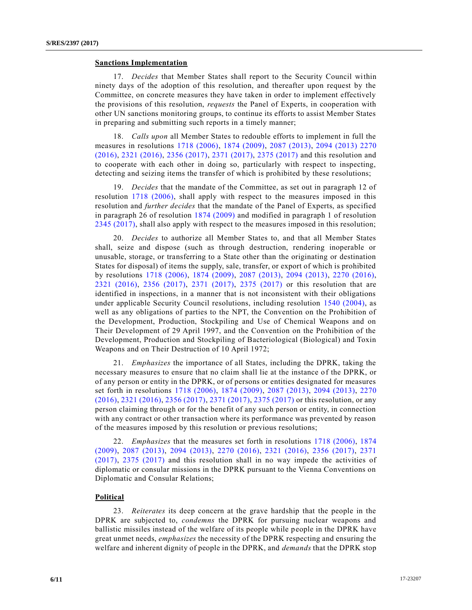#### **Sanctions Implementation**

17. *Decides* that Member States shall report to the Security Council within ninety days of the adoption of this resolution, and thereafter upon request by the Committee, on concrete measures they have taken in order to implement effectively the provisions of this resolution, *requests* the Panel of Experts, in cooperation with other UN sanctions monitoring groups, to continue its efforts to assist Member States in preparing and submitting such reports in a timely manner;

18. *Calls upon* all Member States to redouble efforts to implement in full the measures in resolutions [1718 \(2006\),](https://undocs.org/S/RES/1718(2006)) [1874 \(2009\),](https://undocs.org/S/RES/1874(2009)) [2087 \(2013\),](https://undocs.org/S/RES/2087(2013)) [2094 \(2013\)](https://undocs.org/S/RES/2094(2013)) [2270](https://undocs.org/S/RES/2270(2016))  [\(2016\),](https://undocs.org/S/RES/2270(2016)) [2321 \(2016\),](https://undocs.org/S/RES/2321(2016)) [2356 \(2017\),](https://undocs.org/S/RES/2356(2017)) 2371 [\(2017\),](https://undocs.org/S/RES/2371(2017)) [2375 \(2017\)](https://undocs.org/S/RES/2375(2017)) and this resolution and to cooperate with each other in doing so, particularly with respect to inspecting, detecting and seizing items the transfer of which is prohibited by these resolutions;

19. *Decides* that the mandate of the Committee, as set out in paragraph 12 of resolution [1718 \(2006\),](https://undocs.org/S/RES/1718(2006)) shall apply with respect to the measures imposed in this resolution and *further decides* that the mandate of the Panel of Experts, as specified in paragraph 26 of resolution [1874 \(2009\)](https://undocs.org/S/RES/1874(2009)) and modified in paragraph 1 of resolution [2345 \(2017\),](https://undocs.org/S/RES/2345(2017)) shall also apply with respect to the measures imposed in this resolution;

20. *Decides* to authorize all Member States to, and that all Member States shall, seize and dispose (such as through destruction, rendering inoperable or unusable, storage, or transferring to a State other than the originating or destination States for disposal) of items the supply, sale, transfer, or export of which is prohibited by resolutions [1718 \(2006\),](https://undocs.org/S/RES/1718(2006)) [1874 \(2009\),](https://undocs.org/S/RES/1874(2009)) [2087 \(2013\),](https://undocs.org/S/RES/2087(2013)) [2094 \(2013\),](https://undocs.org/S/RES/2094(2013)) [2270 \(2016\),](https://undocs.org/S/RES/2270(2016)) [2321 \(2016\),](https://undocs.org/S/RES/2321(2016)) [2356 \(2017\),](https://undocs.org/S/RES/2356(2017)) [2371 \(2017\),](https://undocs.org/S/RES/2371(2017)) [2375 \(2017\)](https://undocs.org/S/RES/2375(2017)) or this resolution that are identified in inspections, in a manner that is not inconsistent with their obligations under applicable Security Council resolutions, including resolution [1540 \(2004\),](https://undocs.org/S/RES/1540(2004)) as well as any obligations of parties to the NPT, the Convention on the Prohibition of the Development, Production, Stockpiling and Use of Chemical Weapons and on Their Development of 29 April 1997, and the Convention on the Prohibition of the Development, Production and Stockpiling of Bacteriological (Biological) and Toxin Weapons and on Their Destruction of 10 April 1972;

21. *Emphasizes* the importance of all States, including the DPRK, taking the necessary measures to ensure that no claim shall lie at the instance of the DPRK, or of any person or entity in the DPRK, or of persons or entities designated for measures set forth in resolutions [1718 \(2006\),](https://undocs.org/S/RES/1718(2006)) [1874 \(2009\),](https://undocs.org/S/RES/1874(2009)) [2087 \(2013\),](https://undocs.org/S/RES/2087(2013)) [2094 \(2013\),](https://undocs.org/S/RES/2094(2013)) [2270](https://undocs.org/S/RES/2270(2016))  [\(2016\),](https://undocs.org/S/RES/2270(2016)) [2321 \(2016\),](https://undocs.org/S/RES/2321(2016)) [2356 \(2017\),](https://undocs.org/S/RES/2356(2017)) [2371 \(2017\),](https://undocs.org/S/RES/2371(2017)) [2375 \(2017\)](https://undocs.org/S/RES/2375(2017)) or this resolution, or any person claiming through or for the benefit of any such person or entity, in connection with any contract or other transaction where its performance was prevented by reason of the measures imposed by this resolution or previous resolutions;

22. *Emphasizes* that the measures set forth in resolutions [1718 \(2006\),](https://undocs.org/S/RES/1718(2006)) [1874](https://undocs.org/S/RES/1874(2009))  [\(2009\),](https://undocs.org/S/RES/1874(2009)) [2087 \(2013\),](https://undocs.org/S/RES/2087(2013)) [2094 \(2013\),](https://undocs.org/S/RES/2094(2013)) [2270 \(2016\),](https://undocs.org/S/RES/2270(2016)) [2321 \(2016\),](https://undocs.org/S/RES/2321(2016)) [2356 \(2017\),](https://undocs.org/S/RES/2356(2017)) [2371](https://undocs.org/S/RES/2371(2017))  [\(2017\),](https://undocs.org/S/RES/2371(2017)) [2375 \(2017\)](https://undocs.org/S/RES/2375(2017)) and this resolution shall in no way impede the activities of diplomatic or consular missions in the DPRK pursuant to the Vienna Conventions on Diplomatic and Consular Relations;

### **Political**

23. *Reiterates* its deep concern at the grave hardship that the people in the DPRK are subjected to, *condemns* the DPRK for pursuing nuclear weapons and ballistic missiles instead of the welfare of its people while people in the DPRK have great unmet needs, *emphasizes* the necessity of the DPRK respecting and ensuring the welfare and inherent dignity of people in the DPRK, and *demands* that the DPRK stop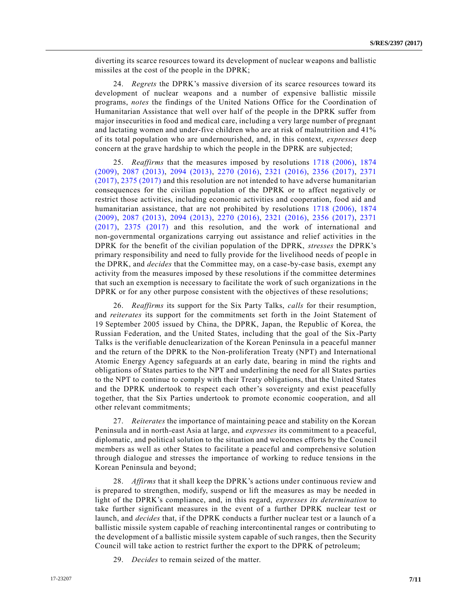diverting its scarce resources toward its development of nuclear weapons and ballistic missiles at the cost of the people in the DPRK;

24. *Regrets* the DPRK's massive diversion of its scarce resources toward its development of nuclear weapons and a number of expensive ballistic missile programs, *notes* the findings of the United Nations Office for the Coordination of Humanitarian Assistance that well over half of the people in the DPRK suffer from major insecurities in food and medical care, including a very large number of pregnant and lactating women and under-five children who are at risk of malnutrition and 41% of its total population who are undernourished, and, in this context, *expresses* deep concern at the grave hardship to which the people in the DPRK are subjected;

25. *Reaffirms* that the measures imposed by resolutions [1718 \(2006\),](https://undocs.org/S/RES/1718(2006)) [1874](https://undocs.org/S/RES/1874(2009))  [\(2009\),](https://undocs.org/S/RES/1874(2009)) [2087 \(2013\),](https://undocs.org/S/RES/2087(2013)) [2094 \(2013\),](https://undocs.org/S/RES/2094(2013)) [2270 \(2016\),](https://undocs.org/S/RES/2270(2016)) [2321 \(2016\),](https://undocs.org/S/RES/2321(2016)) [2356 \(2017\),](https://undocs.org/S/RES/2356(2017)) [2371](https://undocs.org/S/RES/2371(2017))  [\(2017\),](https://undocs.org/S/RES/2371(2017)) [2375 \(2017\)](https://undocs.org/S/RES/2375(2017)) and this resolution are not intended to have adverse humanitarian consequences for the civilian population of the DPRK or to affect negatively or restrict those activities, including economic activities and cooperation, food aid and humanitarian assistance, that are not prohibited by resolutions [1718 \(2006\),](https://undocs.org/S/RES/1718(2006)) [1874](https://undocs.org/S/RES/1874(2009))  [\(2009\),](https://undocs.org/S/RES/1874(2009)) [2087 \(2013\),](https://undocs.org/S/RES/2087(2013)) [2094 \(2013\),](https://undocs.org/S/RES/2094(2013)) [2270 \(2016\),](https://undocs.org/S/RES/2270(2016)) [2321 \(2016\),](https://undocs.org/S/RES/2321(2016)) [2356 \(2017\),](https://undocs.org/S/RES/2356(2017)) [2371](https://undocs.org/S/RES/2371(2017))  [\(2017\),](https://undocs.org/S/RES/2371(2017)) [2375 \(2017\)](https://undocs.org/S/RES/2375(2017)) and this resolution, and the work of international and non-governmental organizations carrying out assistance and relief activities in the DPRK for the benefit of the civilian population of the DPRK, *stresses* the DPRK's primary responsibility and need to fully provide for the livelihood needs of people in the DPRK, and *decides* that the Committee may, on a case-by-case basis, exempt any activity from the measures imposed by these resolutions if the committee determines that such an exemption is necessary to facilitate the work of such organizations in t he DPRK or for any other purpose consistent with the objectives of these resolutions;

26. *Reaffirms* its support for the Six Party Talks, *calls* for their resumption, and *reiterates* its support for the commitments set forth in the Joint Statement of 19 September 2005 issued by China, the DPRK, Japan, the Republic of Korea, the Russian Federation, and the United States, including that the goal of the Six-Party Talks is the verifiable denuclearization of the Korean Peninsula in a peaceful manner and the return of the DPRK to the Non-proliferation Treaty (NPT) and International Atomic Energy Agency safeguards at an early date, bearing in mind the rights and obligations of States parties to the NPT and underlining the need for all States parties to the NPT to continue to comply with their Treaty obligations, that the United States and the DPRK undertook to respect each other's sovereignty and exist peacefully together, that the Six Parties undertook to promote economic cooperation, and all other relevant commitments;

27. *Reiterates* the importance of maintaining peace and stability on the Korean Peninsula and in north-east Asia at large, and *expresses* its commitment to a peaceful, diplomatic, and political solution to the situation and welcomes efforts by the Council members as well as other States to facilitate a peaceful and comprehensive solution through dialogue and stresses the importance of working to reduce tensions in the Korean Peninsula and beyond;

28. *Affirms* that it shall keep the DPRK's actions under continuous review and is prepared to strengthen, modify, suspend or lift the measures as may be needed in light of the DPRK's compliance, and, in this regard, *expresses its determination* to take further significant measures in the event of a further DPRK nuclear test or launch, and *decides* that, if the DPRK conducts a further nuclear test or a launch of a ballistic missile system capable of reaching intercontinental ranges or contributing to the development of a ballistic missile system capable of such ranges, then the Security Council will take action to restrict further the export to the DPRK of petroleum;

29. *Decides* to remain seized of the matter.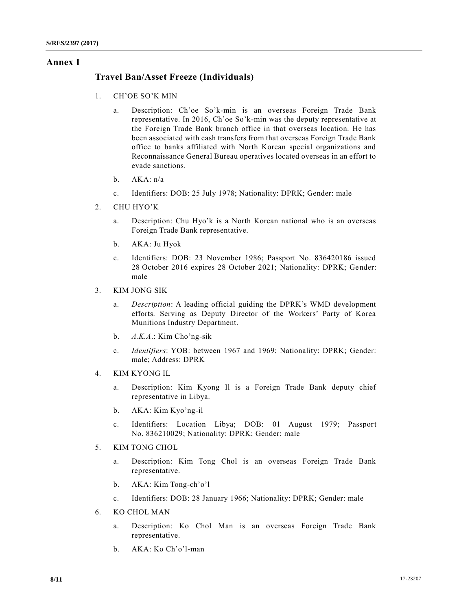## **Annex I**

## **Travel Ban/Asset Freeze (Individuals)**

- 1. CH'OE SO'K MIN
	- a. Description: Ch'oe So'k-min is an overseas Foreign Trade Bank representative. In 2016, Ch'oe So'k-min was the deputy representative at the Foreign Trade Bank branch office in that overseas location. He has been associated with cash transfers from that overseas Foreign Trade Bank office to banks affiliated with North Korean special organizations and Reconnaissance General Bureau operatives located overseas in an effort to evade sanctions.
	- b. AKA: n/a
	- c. Identifiers: DOB: 25 July 1978; Nationality: DPRK; Gender: male
- 2. CHU HYO'K
	- a. Description: Chu Hyo'k is a North Korean national who is an overseas Foreign Trade Bank representative.
	- b. AKA: Ju Hyok
	- c. Identifiers: DOB: 23 November 1986; Passport No. 836420186 issued 28 October 2016 expires 28 October 2021; Nationality: DPRK; Gender: male
- 3. KIM JONG SIK
	- a. *Description*: A leading official guiding the DPRK's WMD development efforts. Serving as Deputy Director of the Workers' Party of Korea Munitions Industry Department.
	- b. *A.K.A*.: Kim Cho'ng-sik
	- c. *Identifiers*: YOB: between 1967 and 1969; Nationality: DPRK; Gender: male; Address: DPRK
- 4. KIM KYONG IL
	- a. Description: Kim Kyong Il is a Foreign Trade Bank deputy chief representative in Libya.
	- b. AKA: Kim Kyo'ng-il
	- c. Identifiers: Location Libya; DOB: 01 August 1979; Passport No. 836210029; Nationality: DPRK; Gender: male
- 5. KIM TONG CHOL
	- a. Description: Kim Tong Chol is an overseas Foreign Trade Bank representative.
	- b. AKA: Kim Tong-ch'o'l
	- c. Identifiers: DOB: 28 January 1966; Nationality: DPRK; Gender: male
- 6. KO CHOL MAN
	- a. Description: Ko Chol Man is an overseas Foreign Trade Bank representative.
	- b. AKA: Ko Ch'o'l-man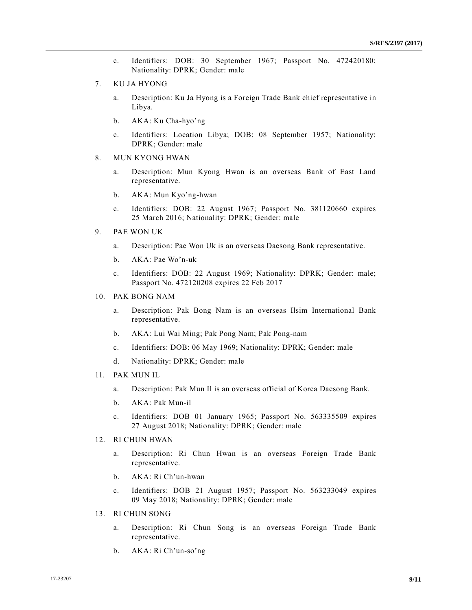- c. Identifiers: DOB: 30 September 1967; Passport No. 472420180; Nationality: DPRK; Gender: male
- 7. KU JA HYONG
	- a. Description: Ku Ja Hyong is a Foreign Trade Bank chief representative in Libya.
	- b. AKA: Ku Cha-hyo'ng
	- c. Identifiers: Location Libya; DOB: 08 September 1957; Nationality: DPRK; Gender: male
- 8. MUN KYONG HWAN
	- a. Description: Mun Kyong Hwan is an overseas Bank of East Land representative.
	- b. AKA: Mun Kyo'ng-hwan
	- c. Identifiers: DOB: 22 August 1967; Passport No. 381120660 expires 25 March 2016; Nationality: DPRK; Gender: male
- 9. PAE WON UK
	- a. Description: Pae Won Uk is an overseas Daesong Bank representative.
	- b. AKA: Pae Wo'n-uk
	- c. Identifiers: DOB: 22 August 1969; Nationality: DPRK; Gender: male; Passport No. 472120208 expires 22 Feb 2017
- 10. PAK BONG NAM
	- a. Description: Pak Bong Nam is an overseas Ilsim International Bank representative.
	- b. AKA: Lui Wai Ming; Pak Pong Nam; Pak Pong-nam
	- c. Identifiers: DOB: 06 May 1969; Nationality: DPRK; Gender: male
	- d. Nationality: DPRK; Gender: male
- 11. PAK MUN IL
	- a. Description: Pak Mun Il is an overseas official of Korea Daesong Bank.
	- b. AKA: Pak Mun-il
	- c. Identifiers: DOB 01 January 1965; Passport No. 563335509 expires 27 August 2018; Nationality: DPRK; Gender: male
- 12. RI CHUN HWAN
	- a. Description: Ri Chun Hwan is an overseas Foreign Trade Bank representative.
	- b. AKA: Ri Ch'un-hwan
	- c. Identifiers: DOB 21 August 1957; Passport No. 563233049 expires 09 May 2018; Nationality: DPRK; Gender: male
- 13. RI CHUN SONG
	- a. Description: Ri Chun Song is an overseas Foreign Trade Bank representative.
	- b. AKA: Ri Ch'un-so'ng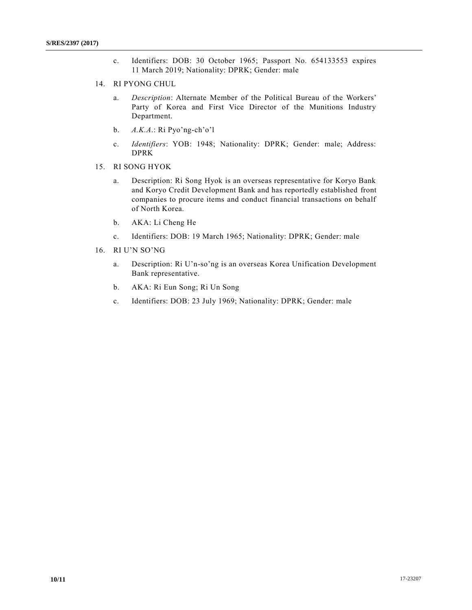- c. Identifiers: DOB: 30 October 1965; Passport No. 654133553 expires 11 March 2019; Nationality: DPRK; Gender: male
- 14. RI PYONG CHUL
	- a. *Description*: Alternate Member of the Political Bureau of the Workers' Party of Korea and First Vice Director of the Munitions Industry Department.
	- b. *A.K.A*.: Ri Pyo'ng-ch'o'l
	- c. *Identifiers*: YOB: 1948; Nationality: DPRK; Gender: male; Address: DPRK
- 15. RI SONG HYOK
	- a. Description: Ri Song Hyok is an overseas representative for Koryo Bank and Koryo Credit Development Bank and has reportedly established front companies to procure items and conduct financial transactions on behalf of North Korea.
	- b. AKA: Li Cheng He
	- c. Identifiers: DOB: 19 March 1965; Nationality: DPRK; Gender: male
- 16. RI U'N SO'NG
	- a. Description: Ri U'n-so'ng is an overseas Korea Unification Development Bank representative.
	- b. AKA: Ri Eun Song; Ri Un Song
	- c. Identifiers: DOB: 23 July 1969; Nationality: DPRK; Gender: male